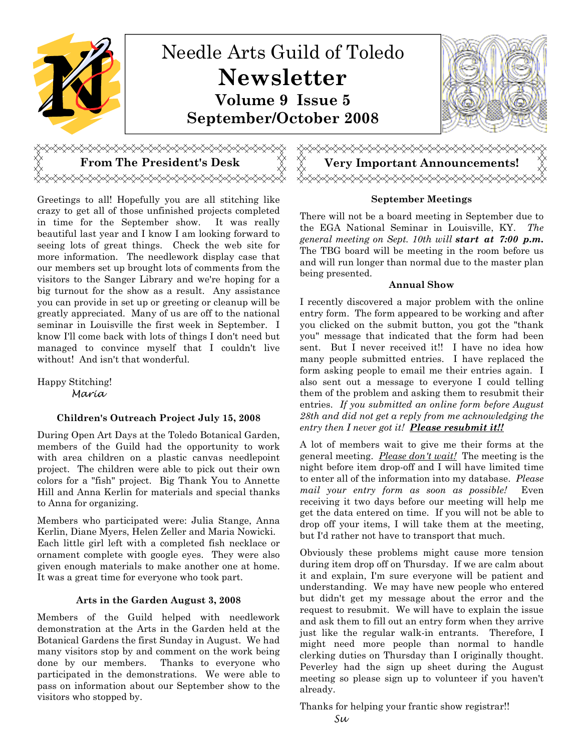

# <del></del>

Greetings to all! Hopefully you are all stitching like crazy to get all of those unfinished projects completed in time for the September show. It was really beautiful last year and I know I am looking forward to seeing lots of great things. Check the web site for more information. The needlework display case that our members set up brought lots of comments from the visitors to the Sanger Library and we're hoping for a big turnout for the show as a result. Any assistance you can provide in set up or greeting or cleanup will be greatly appreciated. Many of us are off to the national seminar in Louisville the first week in September. I know I'll come back with lots of things I don't need but managed to convince myself that I couldn't live without! And isn't that wonderful.

Happy Stitching! Maria

#### Children's Outreach Project July 15, 2008

During Open Art Days at the Toledo Botanical Garden, members of the Guild had the opportunity to work with area children on a plastic canvas needlepoint project. The children were able to pick out their own colors for a "fish" project. Big Thank You to Annette Hill and Anna Kerlin for materials and special thanks to Anna for organizing.

Members who participated were: Julia Stange, Anna Kerlin, Diane Myers, Helen Zeller and Maria Nowicki. Each little girl left with a completed fish necklace or ornament complete with google eyes. They were also given enough materials to make another one at home. It was a great time for everyone who took part.

#### Arts in the Garden August 3, 2008

Members of the Guild helped with needlework demonstration at the Arts in the Garden held at the Botanical Gardens the first Sunday in August. We had many visitors stop by and comment on the work being done by our members. Thanks to everyone who participated in the demonstrations. We were able to pass on information about our September show to the visitors who stopped by.

# From The President's Desk  $\qquad\qquad\lesssim\qquad\qquad\qquad$  Very Important Announcements!

#### September Meetings

There will not be a board meeting in September due to the EGA National Seminar in Louisville, KY. The general meeting on Sept. 10th will start at 7:00 p.m. The TBG board will be meeting in the room before us and will run longer than normal due to the master plan being presented.

#### Annual Show

I recently discovered a major problem with the online entry form. The form appeared to be working and after you clicked on the submit button, you got the "thank you" message that indicated that the form had been sent. But I never received it!! I have no idea how many people submitted entries. I have replaced the form asking people to email me their entries again. I also sent out a message to everyone I could telling them of the problem and asking them to resubmit their entries. If you submitted an online form before August 28th and did not get a reply from me acknowledging the entry then I never got it! Please resubmit it!!

A lot of members wait to give me their forms at the general meeting. *Please don't wait!* The meeting is the night before item drop-off and I will have limited time to enter all of the information into my database. Please mail your entry form as soon as possible! Even receiving it two days before our meeting will help me get the data entered on time. If you will not be able to drop off your items, I will take them at the meeting, but I'd rather not have to transport that much.

Obviously these problems might cause more tension during item drop off on Thursday. If we are calm about it and explain, I'm sure everyone will be patient and understanding. We may have new people who entered but didn't get my message about the error and the request to resubmit. We will have to explain the issue and ask them to fill out an entry form when they arrive just like the regular walk-in entrants. Therefore, I might need more people than normal to handle clerking duties on Thursday than I originally thought. Peverley had the sign up sheet during the August meeting so please sign up to volunteer if you haven't already.

Thanks for helping your frantic show registrar!! Su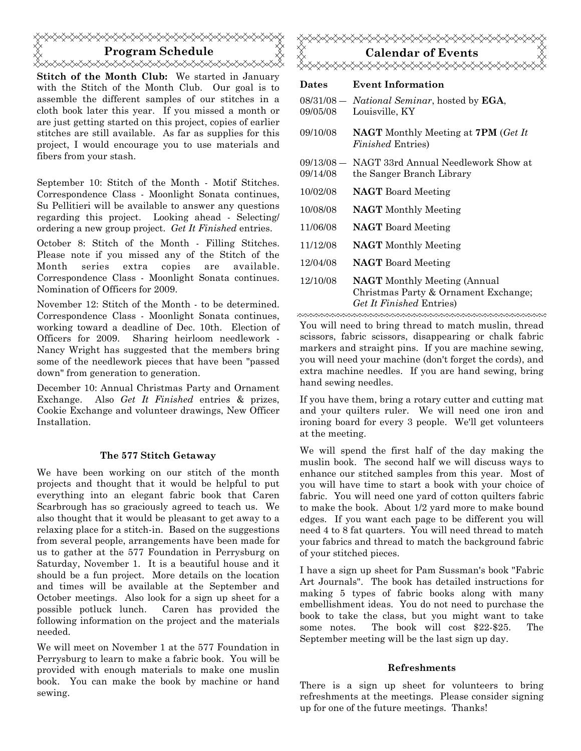# Program Schedule ≪⋘⋌⋌⋌⋌⋌⋌⋌⋌⋌⋌⋌⋌⋌⋌⋌⋌⋌⋌⋌⋌⋌⋌⋌⋌⋌⋌⋌⋌⋌⋌⋌⋌

Stitch of the Month Club: We started in January with the Stitch of the Month Club. Our goal is to assemble the different samples of our stitches in a cloth book later this year. If you missed a month or are just getting started on this project, copies of earlier stitches are still available. As far as supplies for this project, I would encourage you to use materials and fibers from your stash.

September 10: Stitch of the Month - Motif Stitches. Correspondence Class - Moonlight Sonata continues, Su Pellitieri will be available to answer any questions regarding this project. Looking ahead - Selecting/ ordering a new group project. Get It Finished entries.

October 8: Stitch of the Month - Filling Stitches. Please note if you missed any of the Stitch of the Month series extra copies are available. Correspondence Class - Moonlight Sonata continues. Nomination of Officers for 2009.

November 12: Stitch of the Month - to be determined. Correspondence Class - Moonlight Sonata continues, working toward a deadline of Dec. 10th. Election of Officers for 2009. Sharing heirloom needlework - Nancy Wright has suggested that the members bring some of the needlework pieces that have been "passed down" from generation to generation.

December 10: Annual Christmas Party and Ornament Exchange. Also Get It Finished entries & prizes, Cookie Exchange and volunteer drawings, New Officer Installation.

#### The 577 Stitch Getaway

We have been working on our stitch of the month projects and thought that it would be helpful to put everything into an elegant fabric book that Caren Scarbrough has so graciously agreed to teach us. We also thought that it would be pleasant to get away to a relaxing place for a stitch-in. Based on the suggestions from several people, arrangements have been made for us to gather at the 577 Foundation in Perrysburg on Saturday, November 1. It is a beautiful house and it should be a fun project. More details on the location and times will be available at the September and October meetings. Also look for a sign up sheet for a possible potluck lunch. Caren has provided the following information on the project and the materials needed.

We will meet on November 1 at the 577 Foundation in Perrysburg to learn to make a fabric book. You will be provided with enough materials to make one muslin book. You can make the book by machine or hand sewing.



## Dates Event Information

| 08/31/08 - National Seminar, hosted by EGA,<br>Louisville, KY                                           |
|---------------------------------------------------------------------------------------------------------|
| <b>NAGT</b> Monthly Meeting at <b>7PM</b> (Get It<br><i>Finished</i> Entries)                           |
| 09/13/08 — NAGT 33rd Annual Needlework Show at<br>the Sanger Branch Library                             |
| <b>NAGT</b> Board Meeting                                                                               |
| <b>NAGT</b> Monthly Meeting                                                                             |
| <b>NAGT</b> Board Meeting                                                                               |
| <b>NAGT</b> Monthly Meeting                                                                             |
| <b>NAGT</b> Board Meeting                                                                               |
| <b>NAGT</b> Monthly Meeting (Annual<br>Christmas Party & Ornament Exchange;<br>Get It Finished Entries) |
|                                                                                                         |

You will need to bring thread to match muslin, thread scissors, fabric scissors, disappearing or chalk fabric markers and straight pins. If you are machine sewing, you will need your machine (don't forget the cords), and extra machine needles. If you are hand sewing, bring hand sewing needles.

If you have them, bring a rotary cutter and cutting mat and your quilters ruler. We will need one iron and ironing board for every 3 people. We'll get volunteers at the meeting.

We will spend the first half of the day making the muslin book. The second half we will discuss ways to enhance our stitched samples from this year. Most of you will have time to start a book with your choice of fabric. You will need one yard of cotton quilters fabric to make the book. About 1/2 yard more to make bound edges. If you want each page to be different you will need 4 to 8 fat quarters. You will need thread to match your fabrics and thread to match the background fabric of your stitched pieces.

I have a sign up sheet for Pam Sussman's book "Fabric Art Journals". The book has detailed instructions for making 5 types of fabric books along with many embellishment ideas. You do not need to purchase the book to take the class, but you might want to take some notes. The book will cost \$22-\$25. The September meeting will be the last sign up day.

#### Refreshments

There is a sign up sheet for volunteers to bring refreshments at the meetings. Please consider signing up for one of the future meetings. Thanks!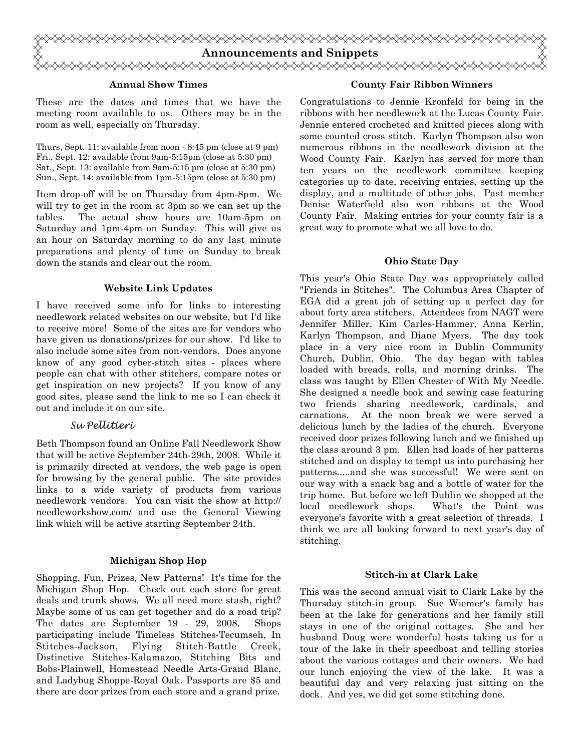

#### Annual Show Times

These are the dates and times that we have the meeting room available to us. Others may be in the room as well, especially on Thursday.

Thurs, Sept. 11: available from noon - 8:45 pm (close at 9 pm) Fri., Sept. 12: available from 9am-5:15pm (close at 5:30 pm) Sat., Sept. 13: available from 9am-5:15 pm (close at 5:30 pm) Sun., Sept. 14: available from 1pm-5:15pm (close at 5:30 pm)

Item drop-off will be on Thursday from 4pm-8pm. We will try to get in the room at 3pm so we can set up the tables. The actual show hours are 10am-5pm on Saturday and 1pm-4pm on Sunday. This will give us an hour on Saturday morning to do any last minute preparations and plenty of time on Sunday to break down the stands and clear out the room.

#### Website Link Updates

I have received some info for links to interesting needlework related websites on our website, but I'd like to receive more! Some of the sites are for vendors who have given us donations/prizes for our show. I'd like to also include some sites from non-vendors. Does anyone know of any good cyber-stitch sites - places where people can chat with other stitchers, compare notes or get inspiration on new projects? If you know of any good sites, please send the link to me so I can check it out and include it on our site.

#### Su Pellitieri

Beth Thompson found an Online Fall Needlework Show that will be active September 24th-29th, 2008. While it is primarily directed at vendors, the web page is open for browsing by the general public. The site provides links to a wide variety of products from various needlework vendors. You can visit the show at http:// needleworkshow.com/ and use the General Viewing link which will be active starting September 24th.

#### Michigan Shop Hop

Shopping, Fun, Prizes, New Patterns! It's time for the Michigan Shop Hop. Check out each store for great deals and trunk shows. We all need more stash, right? Maybe some of us can get together and do a road trip? The dates are September 19 - 29, 2008. Shops participating include Timeless Stitches-Tecumseh, In Stitches-Jackson, Flying Stitch-Battle Creek, Distinctive Stitches-Kalamazoo, Stitching Bits and Bobs-Plainwell, Homestead Needle Arts-Grand Blanc, and Ladybug Shoppe-Royal Oak. Passports are \$5 and there are door prizes from each store and a grand prize.

#### County Fair Ribbon Winners

Congratulations to Jennie Kronfeld for being in the ribbons with her needlework at the Lucas County Fair. Jennie entered crocheted and knitted pieces along with some counted cross stitch. Karlyn Thompson also won numerous ribbons in the needlework division at the Wood County Fair. Karlyn has served for more than ten years on the needlework committee keeping categories up to date, receiving entries, setting up the display, and a multitude of other jobs. Past member Denise Waterfield also won ribbons at the Wood County Fair. Making entries for your county fair is a great way to promote what we all love to do.

#### Ohio State Day

This year's Ohio State Day was appropriately called "Friends in Stitches". The Columbus Area Chapter of EGA did a great job of setting up a perfect day for about forty area stitchers. Attendees from NAGT were Jennifer Miller, Kim Carles-Hammer, Anna Kerlin, Karlyn Thompson, and Diane Myers. The day took place in a very nice room in Dublin Community Church, Dublin, Ohio. The day began with tables loaded with breads, rolls, and morning drinks. The class was taught by Ellen Chester of With My Needle. She designed a needle book and sewing case featuring two friends sharing needlework, cardinals, and carnations. At the noon break we were served a delicious lunch by the ladies of the church. Everyone received door prizes following lunch and we finished up the class around 3 pm. Ellen had loads of her patterns stitched and on display to tempt us into purchasing her patterns.....and she was successful! We were sent on our way with a snack bag and a bottle of water for the trip home. But before we left Dublin we shopped at the local needlework shops. What's the Point was everyone's favorite with a great selection of threads. I think we are all looking forward to next year's day of stitching.

#### Stitch-in at Clark Lake

This was the second annual visit to Clark Lake by the Thursday stitch-in group. Sue Wiemer's family has been at the lake for generations and her family still stays in one of the original cottages. She and her husband Doug were wonderful hosts taking us for a tour of the lake in their speedboat and telling stories about the various cottages and their owners. We had our lunch enjoying the view of the lake. It was a beautiful day and very relaxing just sitting on the dock. And yes, we did get some stitching done.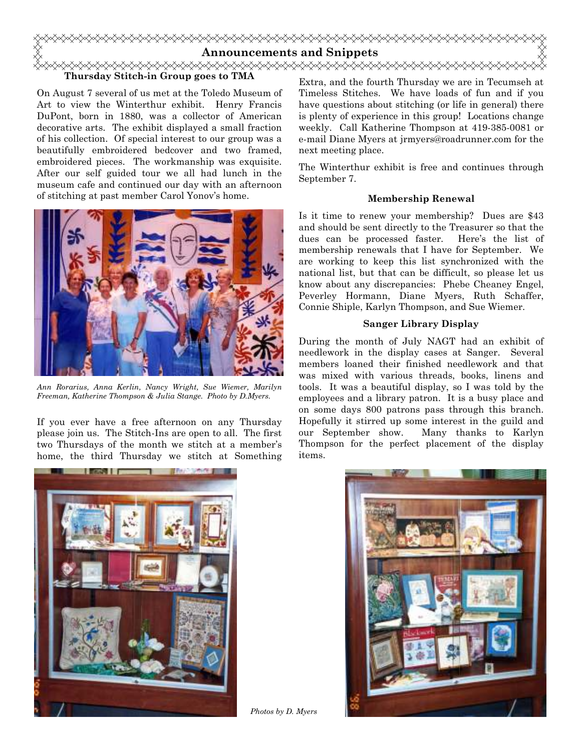

#### Thursday Stitch-in Group goes to TMA

On August 7 several of us met at the Toledo Museum of Art to view the Winterthur exhibit. Henry Francis DuPont, born in 1880, was a collector of American decorative arts. The exhibit displayed a small fraction of his collection. Of special interest to our group was a beautifully embroidered bedcover and two framed, embroidered pieces. The workmanship was exquisite. After our self guided tour we all had lunch in the museum cafe and continued our day with an afternoon of stitching at past member Carol Yonov's home.



Ann Rorarius, Anna Kerlin, Nancy Wright, Sue Wiemer, Marilyn Freeman, Katherine Thompson & Julia Stange. Photo by D.Myers.

If you ever have a free afternoon on any Thursday please join us. The Stitch-Ins are open to all. The first two Thursdays of the month we stitch at a member's home, the third Thursday we stitch at Something Extra, and the fourth Thursday we are in Tecumseh at Timeless Stitches. We have loads of fun and if you have questions about stitching (or life in general) there is plenty of experience in this group! Locations change weekly. Call Katherine Thompson at 419-385-0081 or e-mail Diane Myers at jrmyers@roadrunner.com for the next meeting place.

The Winterthur exhibit is free and continues through September 7.

#### Membership Renewal

Is it time to renew your membership? Dues are \$43 and should be sent directly to the Treasurer so that the dues can be processed faster. Here's the list of membership renewals that I have for September. We are working to keep this list synchronized with the national list, but that can be difficult, so please let us know about any discrepancies: Phebe Cheaney Engel, Peverley Hormann, Diane Myers, Ruth Schaffer, Connie Shiple, Karlyn Thompson, and Sue Wiemer.

#### Sanger Library Display

During the month of July NAGT had an exhibit of needlework in the display cases at Sanger. Several members loaned their finished needlework and that was mixed with various threads, books, linens and tools. It was a beautiful display, so I was told by the employees and a library patron. It is a busy place and on some days 800 patrons pass through this branch. Hopefully it stirred up some interest in the guild and our September show. Many thanks to Karlyn Thompson for the perfect placement of the display items.



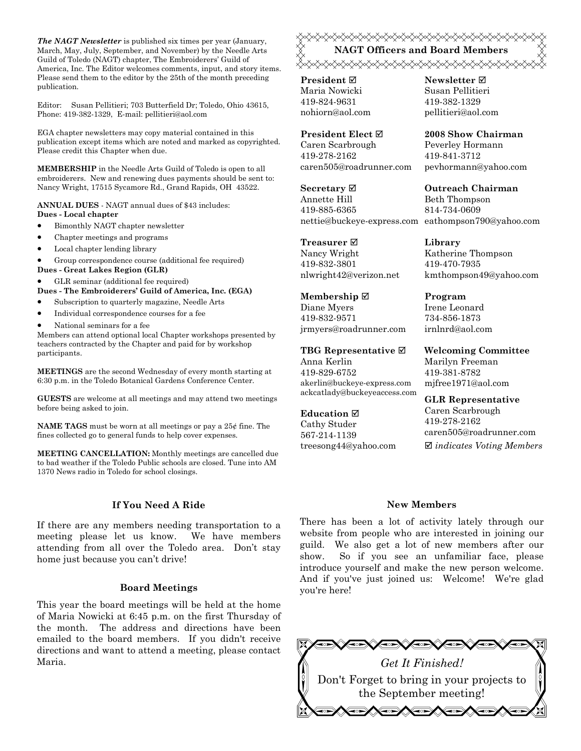The NAGT Newsletter is published six times per year (January, March, May, July, September, and November) by the Needle Arts Guild of Toledo (NAGT) chapter, The Embroiderers' Guild of America, Inc. The Editor welcomes comments, input, and story items. Please send them to the editor by the 25th of the month preceding publication.

Editor: Susan Pellitieri; 703 Butterfield Dr; Toledo, Ohio 43615, Phone: 419-382-1329, E-mail: pellitieri@aol.com

EGA chapter newsletters may copy material contained in this publication except items which are noted and marked as copyrighted. Please credit this Chapter when due.

MEMBERSHIP in the Needle Arts Guild of Toledo is open to all embroiderers. New and renewing dues payments should be sent to: Nancy Wright, 17515 Sycamore Rd., Grand Rapids, OH 43522.

ANNUAL DUES - NAGT annual dues of \$43 includes: Dues - Local chapter

- Bimonthly NAGT chapter newsletter
- Chapter meetings and programs
- Local chapter lending library

• Group correspondence course (additional fee required)

Dues - Great Lakes Region (GLR)

• GLR seminar (additional fee required)

Dues - The Embroiderers' Guild of America, Inc. (EGA)

- Subscription to quarterly magazine, Needle Arts
- Individual correspondence courses for a fee
- National seminars for a fee

Members can attend optional local Chapter workshops presented by teachers contracted by the Chapter and paid for by workshop participants.

MEETINGS are the second Wednesday of every month starting at 6:30 p.m. in the Toledo Botanical Gardens Conference Center.

GUESTS are welcome at all meetings and may attend two meetings before being asked to join.

**NAME TAGS** must be worn at all meetings or pay a  $25¢$  fine. The fines collected go to general funds to help cover expenses.

MEETING CANCELLATION: Monthly meetings are cancelled due to bad weather if the Toledo Public schools are closed. Tune into AM 1370 News radio in Toledo for school closings.

#### If You Need A Ride

If there are any members needing transportation to a meeting please let us know. We have members attending from all over the Toledo area. Don't stay home just because you can't drive!

#### Board Meetings

This year the board meetings will be held at the home of Maria Nowicki at 6:45 p.m. on the first Thursday of the month. The address and directions have been emailed to the board members. If you didn't receive directions and want to attend a meeting, please contact Maria.

### NAGT Officers and Board Members ≪⋟⋠⋟⋠⋟⋠⋟⋠⋟⋠⋟⋠⋟⋠⋟⋠⋟⋠⋟⋠⋟⋠⋟⋠⋟⋠⋟⋠⋟⋠⋟⋠

**President** ⊠ Maria Nowicki 419-824-9631 nohiorn@aol.com

President Elect Caren Scarbrough 419-278-2162 caren505@roadrunner.com

Secretary **Ø** Annette Hill 419-885-6365 nettie@buckeye-express.com eathompson790@yahoo.com

Treasurer **⊠** Nancy Wright 419-832-3801 nlwright42@verizon.net

Membership ⊠ Diane Myers 419-832-9571 jrmyers@roadrunner.com

TBG Representative  $□$ Anna Kerlin 419-829-6752 akerlin@buckeye-express.com ackcatlady@buckeyeaccess.com

#### Education  $\boxtimes$

Cathy Studer 567-214-1139 treesong44@yahoo.com Newsletter **Ø** Susan Pellitieri 419-382-1329 pellitieri@aol.com

2008 Show Chairman Peverley Hormann 419-841-3712 pevhormann@yahoo.com

Outreach Chairman Beth Thompson 814-734-0609

Library Katherine Thompson 419-470-7935 kmthompson49@yahoo.com

Program Irene Leonard 734-856-1873 irnlnrd@aol.com

Welcoming Committee Marilyn Freeman 419-381-8782 mjfree1971@aol.com

GLR Representative Caren Scarbrough 419-278-2162 caren505@roadrunner.com  $\boxtimes$  indicates Voting Members

#### New Members

There has been a lot of activity lately through our website from people who are interested in joining our guild. We also get a lot of new members after our show. So if you see an unfamiliar face, please introduce yourself and make the new person welcome. And if you've just joined us: Welcome! We're glad you're here!